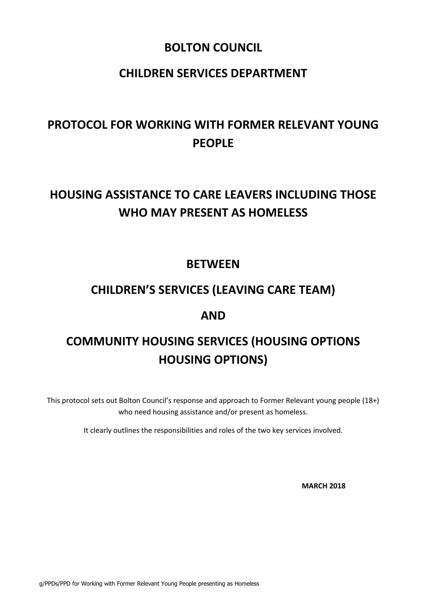### **BOLTON COUNCIL**

### **CHILDREN SERVICES DEPARTMENT**

## **PROTOCOL FOR WORKING WITH FORMER RELEVANT YOUNG PEOPLE**

## **HOUSING ASSISTANCE TO CARE LEAVERS INCLUDING THOSE WHO MAY PRESENT AS HOMELESS**

### **BETWEEN**

## **CHILDREN'S SERVICES (LEAVING CARE TEAM)**

### **AND**

# **COMMUNITY HOUSING SERVICES (HOUSING OPTIONS HOUSING OPTIONS)**

This protocol sets out Bolton Council's response and approach to Former Relevant young people (18+) who need housing assistance and/or present as homeless.

It clearly outlines the responsibilities and roles of the two key services involved.

**MARCH 2018**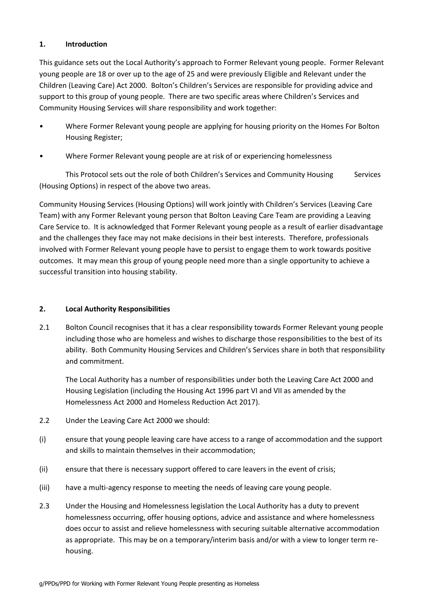#### **1. Introduction**

This guidance sets out the Local Authority's approach to Former Relevant young people. Former Relevant young people are 18 or over up to the age of 25 and were previously Eligible and Relevant under the Children (Leaving Care) Act 2000. Bolton's Children's Services are responsible for providing advice and support to this group of young people. There are two specific areas where Children's Services and Community Housing Services will share responsibility and work together:

- Where Former Relevant young people are applying for housing priority on the Homes For Bolton Housing Register;
- Where Former Relevant young people are at risk of or experiencing homelessness

This Protocol sets out the role of both Children's Services and Community Housing Services (Housing Options) in respect of the above two areas.

Community Housing Services (Housing Options) will work jointly with Children's Services (Leaving Care Team) with any Former Relevant young person that Bolton Leaving Care Team are providing a Leaving Care Service to. It is acknowledged that Former Relevant young people as a result of earlier disadvantage and the challenges they face may not make decisions in their best interests. Therefore, professionals involved with Former Relevant young people have to persist to engage them to work towards positive outcomes. It may mean this group of young people need more than a single opportunity to achieve a successful transition into housing stability.

#### **2. Local Authority Responsibilities**

2.1 Bolton Council recognises that it has a clear responsibility towards Former Relevant young people including those who are homeless and wishes to discharge those responsibilities to the best of its ability. Both Community Housing Services and Children's Services share in both that responsibility and commitment.

The Local Authority has a number of responsibilities under both the Leaving Care Act 2000 and Housing Legislation (including the Housing Act 1996 part VI and VII as amended by the Homelessness Act 2000 and Homeless Reduction Act 2017).

- 2.2 Under the Leaving Care Act 2000 we should:
- (i) ensure that young people leaving care have access to a range of accommodation and the support and skills to maintain themselves in their accommodation;
- (ii) ensure that there is necessary support offered to care leavers in the event of crisis;
- (iii) have a multi-agency response to meeting the needs of leaving care young people.
- 2.3 Under the Housing and Homelessness legislation the Local Authority has a duty to prevent homelessness occurring, offer housing options, advice and assistance and where homelessness does occur to assist and relieve homelessness with securing suitable alternative accommodation as appropriate. This may be on a temporary/interim basis and/or with a view to longer term rehousing.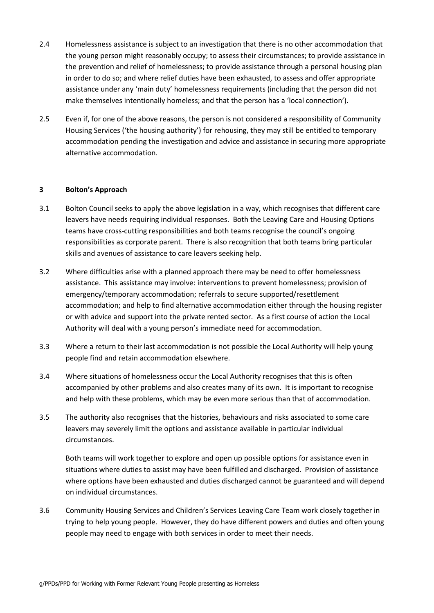- 2.4 Homelessness assistance is subject to an investigation that there is no other accommodation that the young person might reasonably occupy; to assess their circumstances; to provide assistance in the prevention and relief of homelessness; to provide assistance through a personal housing plan in order to do so; and where relief duties have been exhausted, to assess and offer appropriate assistance under any 'main duty' homelessness requirements (including that the person did not make themselves intentionally homeless; and that the person has a 'local connection').
- 2.5 Even if, for one of the above reasons, the person is not considered a responsibility of Community Housing Services ('the housing authority') for rehousing, they may still be entitled to temporary accommodation pending the investigation and advice and assistance in securing more appropriate alternative accommodation.

#### **3 Bolton's Approach**

- 3.1 Bolton Council seeks to apply the above legislation in a way, which recognises that different care leavers have needs requiring individual responses. Both the Leaving Care and Housing Options teams have cross-cutting responsibilities and both teams recognise the council's ongoing responsibilities as corporate parent. There is also recognition that both teams bring particular skills and avenues of assistance to care leavers seeking help.
- 3.2 Where difficulties arise with a planned approach there may be need to offer homelessness assistance. This assistance may involve: interventions to prevent homelessness; provision of emergency/temporary accommodation; referrals to secure supported/resettlement accommodation; and help to find alternative accommodation either through the housing register or with advice and support into the private rented sector. As a first course of action the Local Authority will deal with a young person's immediate need for accommodation.
- 3.3 Where a return to their last accommodation is not possible the Local Authority will help young people find and retain accommodation elsewhere.
- 3.4 Where situations of homelessness occur the Local Authority recognises that this is often accompanied by other problems and also creates many of its own. It is important to recognise and help with these problems, which may be even more serious than that of accommodation.
- 3.5 The authority also recognises that the histories, behaviours and risks associated to some care leavers may severely limit the options and assistance available in particular individual circumstances.

Both teams will work together to explore and open up possible options for assistance even in situations where duties to assist may have been fulfilled and discharged. Provision of assistance where options have been exhausted and duties discharged cannot be guaranteed and will depend on individual circumstances.

3.6 Community Housing Services and Children's Services Leaving Care Team work closely together in trying to help young people. However, they do have different powers and duties and often young people may need to engage with both services in order to meet their needs.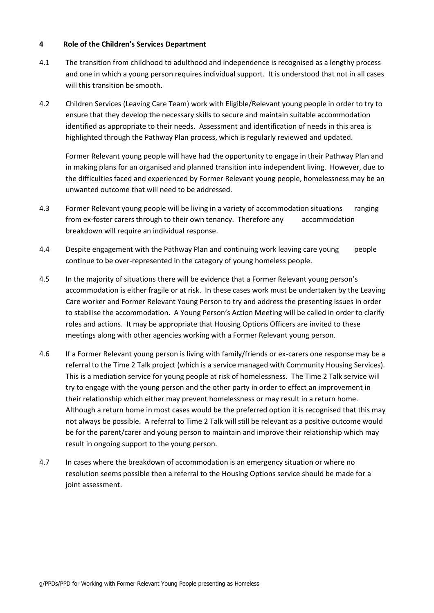#### **4 Role of the Children's Services Department**

- 4.1 The transition from childhood to adulthood and independence is recognised as a lengthy process and one in which a young person requires individual support. It is understood that not in all cases will this transition be smooth.
- 4.2 Children Services (Leaving Care Team) work with Eligible/Relevant young people in order to try to ensure that they develop the necessary skills to secure and maintain suitable accommodation identified as appropriate to their needs. Assessment and identification of needs in this area is highlighted through the Pathway Plan process, which is regularly reviewed and updated.

Former Relevant young people will have had the opportunity to engage in their Pathway Plan and in making plans for an organised and planned transition into independent living. However, due to the difficulties faced and experienced by Former Relevant young people, homelessness may be an unwanted outcome that will need to be addressed.

- 4.3 Former Relevant young people will be living in a variety of accommodation situations ranging from ex-foster carers through to their own tenancy. Therefore any accommodation breakdown will require an individual response.
- 4.4 Despite engagement with the Pathway Plan and continuing work leaving care young people continue to be over-represented in the category of young homeless people.
- 4.5 In the majority of situations there will be evidence that a Former Relevant young person's accommodation is either fragile or at risk. In these cases work must be undertaken by the Leaving Care worker and Former Relevant Young Person to try and address the presenting issues in order to stabilise the accommodation. A Young Person's Action Meeting will be called in order to clarify roles and actions. It may be appropriate that Housing Options Officers are invited to these meetings along with other agencies working with a Former Relevant young person.
- 4.6 If a Former Relevant young person is living with family/friends or ex-carers one response may be a referral to the Time 2 Talk project (which is a service managed with Community Housing Services). This is a mediation service for young people at risk of homelessness. The Time 2 Talk service will try to engage with the young person and the other party in order to effect an improvement in their relationship which either may prevent homelessness or may result in a return home. Although a return home in most cases would be the preferred option it is recognised that this may not always be possible. A referral to Time 2 Talk will still be relevant as a positive outcome would be for the parent/carer and young person to maintain and improve their relationship which may result in ongoing support to the young person.
- 4.7 In cases where the breakdown of accommodation is an emergency situation or where no resolution seems possible then a referral to the Housing Options service should be made for a joint assessment.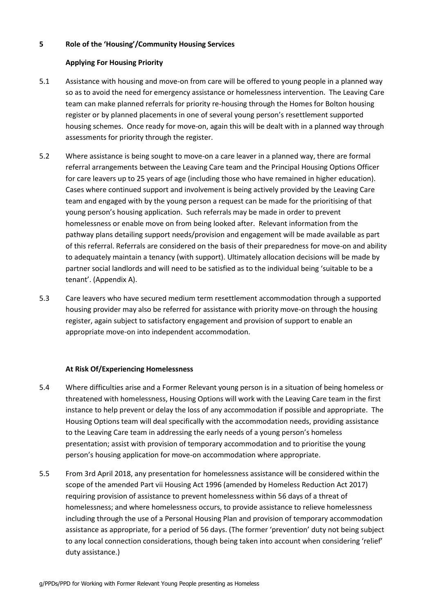#### **5 Role of the 'Housing'/Community Housing Services**

#### **Applying For Housing Priority**

- 5.1 Assistance with housing and move-on from care will be offered to young people in a planned way so as to avoid the need for emergency assistance or homelessness intervention. The Leaving Care team can make planned referrals for priority re-housing through the Homes for Bolton housing register or by planned placements in one of several young person's resettlement supported housing schemes. Once ready for move-on, again this will be dealt with in a planned way through assessments for priority through the register.
- 5.2 Where assistance is being sought to move-on a care leaver in a planned way, there are formal referral arrangements between the Leaving Care team and the Principal Housing Options Officer for care leavers up to 25 years of age (including those who have remained in higher education). Cases where continued support and involvement is being actively provided by the Leaving Care team and engaged with by the young person a request can be made for the prioritising of that young person's housing application. Such referrals may be made in order to prevent homelessness or enable move on from being looked after. Relevant information from the pathway plans detailing support needs/provision and engagement will be made available as part of this referral. Referrals are considered on the basis of their preparedness for move-on and ability to adequately maintain a tenancy (with support). Ultimately allocation decisions will be made by partner social landlords and will need to be satisfied as to the individual being 'suitable to be a tenant'. (Appendix A).
- 5.3 Care leavers who have secured medium term resettlement accommodation through a supported housing provider may also be referred for assistance with priority move-on through the housing register, again subject to satisfactory engagement and provision of support to enable an appropriate move-on into independent accommodation.

#### **At Risk Of/Experiencing Homelessness**

- 5.4 Where difficulties arise and a Former Relevant young person is in a situation of being homeless or threatened with homelessness, Housing Options will work with the Leaving Care team in the first instance to help prevent or delay the loss of any accommodation if possible and appropriate. The Housing Options team will deal specifically with the accommodation needs, providing assistance to the Leaving Care team in addressing the early needs of a young person's homeless presentation; assist with provision of temporary accommodation and to prioritise the young person's housing application for move-on accommodation where appropriate.
- 5.5 From 3rd April 2018, any presentation for homelessness assistance will be considered within the scope of the amended Part vii Housing Act 1996 (amended by Homeless Reduction Act 2017) requiring provision of assistance to prevent homelessness within 56 days of a threat of homelessness; and where homelessness occurs, to provide assistance to relieve homelessness including through the use of a Personal Housing Plan and provision of temporary accommodation assistance as appropriate, for a period of 56 days. (The former 'prevention' duty not being subject to any local connection considerations, though being taken into account when considering 'relief' duty assistance.)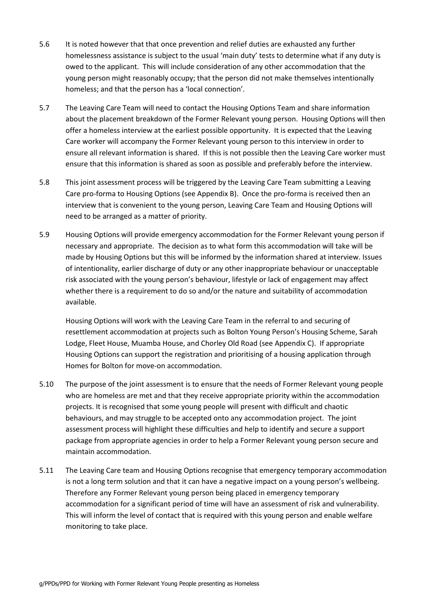- 5.6 It is noted however that that once prevention and relief duties are exhausted any further homelessness assistance is subject to the usual 'main duty' tests to determine what if any duty is owed to the applicant. This will include consideration of any other accommodation that the young person might reasonably occupy; that the person did not make themselves intentionally homeless; and that the person has a 'local connection'.
- 5.7 The Leaving Care Team will need to contact the Housing Options Team and share information about the placement breakdown of the Former Relevant young person. Housing Options will then offer a homeless interview at the earliest possible opportunity. It is expected that the Leaving Care worker will accompany the Former Relevant young person to this interview in order to ensure all relevant information is shared. If this is not possible then the Leaving Care worker must ensure that this information is shared as soon as possible and preferably before the interview.
- 5.8 This joint assessment process will be triggered by the Leaving Care Team submitting a Leaving Care pro-forma to Housing Options (see Appendix B). Once the pro-forma is received then an interview that is convenient to the young person, Leaving Care Team and Housing Options will need to be arranged as a matter of priority.
- 5.9 Housing Options will provide emergency accommodation for the Former Relevant young person if necessary and appropriate. The decision as to what form this accommodation will take will be made by Housing Options but this will be informed by the information shared at interview. Issues of intentionality, earlier discharge of duty or any other inappropriate behaviour or unacceptable risk associated with the young person's behaviour, lifestyle or lack of engagement may affect whether there is a requirement to do so and/or the nature and suitability of accommodation available.

Housing Options will work with the Leaving Care Team in the referral to and securing of resettlement accommodation at projects such as Bolton Young Person's Housing Scheme, Sarah Lodge, Fleet House, Muamba House, and Chorley Old Road (see Appendix C). If appropriate Housing Options can support the registration and prioritising of a housing application through Homes for Bolton for move-on accommodation.

- 5.10 The purpose of the joint assessment is to ensure that the needs of Former Relevant young people who are homeless are met and that they receive appropriate priority within the accommodation projects. It is recognised that some young people will present with difficult and chaotic behaviours, and may struggle to be accepted onto any accommodation project. The joint assessment process will highlight these difficulties and help to identify and secure a support package from appropriate agencies in order to help a Former Relevant young person secure and maintain accommodation.
- 5.11 The Leaving Care team and Housing Options recognise that emergency temporary accommodation is not a long term solution and that it can have a negative impact on a young person's wellbeing. Therefore any Former Relevant young person being placed in emergency temporary accommodation for a significant period of time will have an assessment of risk and vulnerability. This will inform the level of contact that is required with this young person and enable welfare monitoring to take place.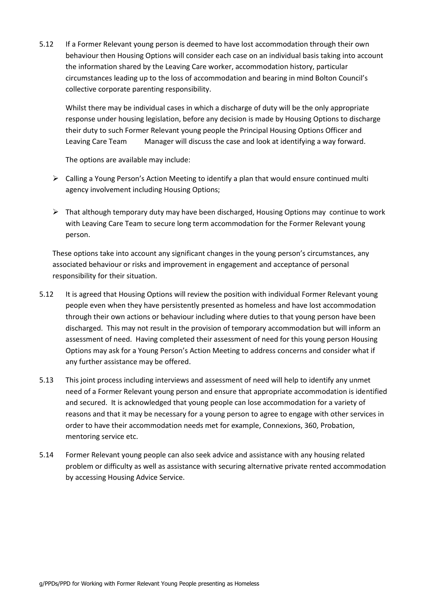5.12 If a Former Relevant young person is deemed to have lost accommodation through their own behaviour then Housing Options will consider each case on an individual basis taking into account the information shared by the Leaving Care worker, accommodation history, particular circumstances leading up to the loss of accommodation and bearing in mind Bolton Council's collective corporate parenting responsibility.

Whilst there may be individual cases in which a discharge of duty will be the only appropriate response under housing legislation, before any decision is made by Housing Options to discharge their duty to such Former Relevant young people the Principal Housing Options Officer and Leaving Care Team Manager will discuss the case and look at identifying a way forward.

The options are available may include:

- ➢ Calling a Young Person's Action Meeting to identify a plan that would ensure continued multi agency involvement including Housing Options;
- $\triangleright$  That although temporary duty may have been discharged, Housing Options may continue to work with Leaving Care Team to secure long term accommodation for the Former Relevant young person.

These options take into account any significant changes in the young person's circumstances, any associated behaviour or risks and improvement in engagement and acceptance of personal responsibility for their situation.

- 5.12 It is agreed that Housing Options will review the position with individual Former Relevant young people even when they have persistently presented as homeless and have lost accommodation through their own actions or behaviour including where duties to that young person have been discharged. This may not result in the provision of temporary accommodation but will inform an assessment of need. Having completed their assessment of need for this young person Housing Options may ask for a Young Person's Action Meeting to address concerns and consider what if any further assistance may be offered.
- 5.13 This joint process including interviews and assessment of need will help to identify any unmet need of a Former Relevant young person and ensure that appropriate accommodation is identified and secured. It is acknowledged that young people can lose accommodation for a variety of reasons and that it may be necessary for a young person to agree to engage with other services in order to have their accommodation needs met for example, Connexions, 360, Probation, mentoring service etc.
- 5.14 Former Relevant young people can also seek advice and assistance with any housing related problem or difficulty as well as assistance with securing alternative private rented accommodation by accessing Housing Advice Service.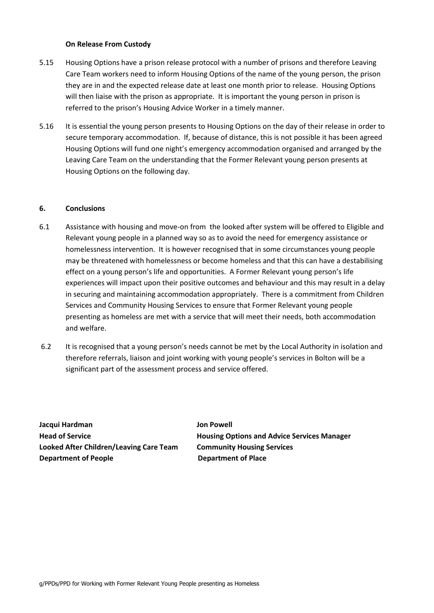#### **On Release From Custody**

- 5.15 Housing Options have a prison release protocol with a number of prisons and therefore Leaving Care Team workers need to inform Housing Options of the name of the young person, the prison they are in and the expected release date at least one month prior to release. Housing Options will then liaise with the prison as appropriate. It is important the young person in prison is referred to the prison's Housing Advice Worker in a timely manner.
- 5.16 It is essential the young person presents to Housing Options on the day of their release in order to secure temporary accommodation. If, because of distance, this is not possible it has been agreed Housing Options will fund one night's emergency accommodation organised and arranged by the Leaving Care Team on the understanding that the Former Relevant young person presents at Housing Options on the following day.

#### **6. Conclusions**

- 6.1 Assistance with housing and move-on from the looked after system will be offered to Eligible and Relevant young people in a planned way so as to avoid the need for emergency assistance or homelessness intervention. It is however recognised that in some circumstances young people may be threatened with homelessness or become homeless and that this can have a destabilising effect on a young person's life and opportunities. A Former Relevant young person's life experiences will impact upon their positive outcomes and behaviour and this may result in a delay in securing and maintaining accommodation appropriately. There is a commitment from Children Services and Community Housing Services to ensure that Former Relevant young people presenting as homeless are met with a service that will meet their needs, both accommodation and welfare.
- 6.2 It is recognised that a young person's needs cannot be met by the Local Authority in isolation and therefore referrals, liaison and joint working with young people's services in Bolton will be a significant part of the assessment process and service offered.

**Jacqui Hardman Jon Powell Looked After Children/Leaving Care Team Community Housing Services Department of People Community Community Department of Place** 

**Head of Service Housing Options and Advice Services Manager**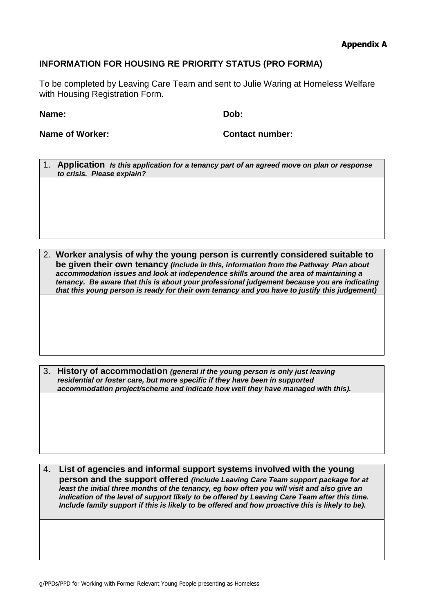#### **Appendix A**

#### **INFORMATION FOR HOUSING RE PRIORITY STATUS (PRO FORMA)**

To be completed by Leaving Care Team and sent to Julie Waring at Homeless Welfare with Housing Registration Form.

**Name: Dob:**

**Name of Worker: Contact number:**

1. **Application** *Is this application for a tenancy part of an agreed move on plan or response to crisis. Please explain?*

2. **Worker analysis of why the young person is currently considered suitable to be given their own tenancy** *(include in this, information from the Pathway Plan about accommodation issues and look at independence skills around the area of maintaining a tenancy. Be aware that this is about your professional judgement because you are indicating that this young person is ready for their own tenancy and you have to justify this judgement)*

3. **History of accommodation** *(general if the young person is only just leaving residential or foster care, but more specific if they have been in supported accommodation project/scheme and indicate how well they have managed with this).*

4. **List of agencies and informal support systems involved with the young person and the support offered** *(include Leaving Care Team support package for at least the initial three months of the tenancy, eg how often you will visit and also give an indication of the level of support likely to be offered by Leaving Care Team after this time. Include family support if this is likely to be offered and how proactive this is likely to be).*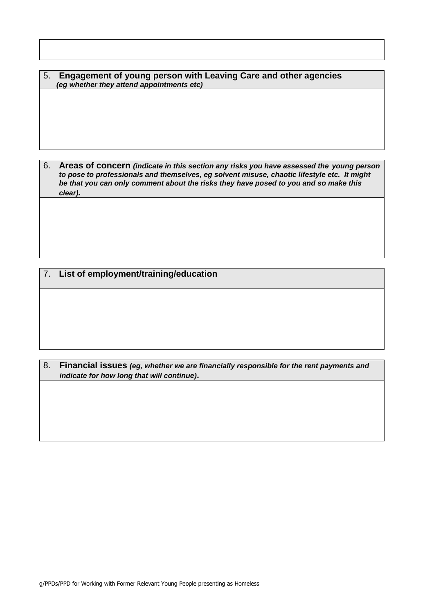5. **Engagement of young person with Leaving Care and other agencies**  *(eg whether they attend appointments etc)*

6. **Areas of concern** *(indicate in this section any risks you have assessed the young person to pose to professionals and themselves, eg solvent misuse, chaotic lifestyle etc. It might be that you can only comment about the risks they have posed to you and so make this clear).*

7. **List of employment/training/education**

8. **Financial issues** *(eg, whether we are financially responsible for the rent payments and indicate for how long that will continue)***.**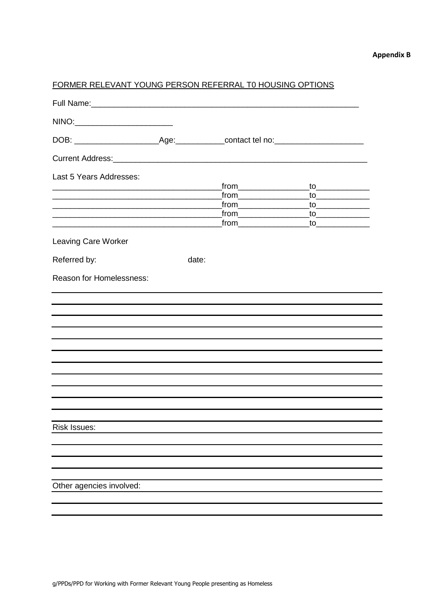#### **Appendix B**

#### FORMER RELEVANT YOUNG PERSON REFERRAL T0 HOUSING OPTIONS

| NINO:                                                                                                                                                                                                                         |       |                                     |  |
|-------------------------------------------------------------------------------------------------------------------------------------------------------------------------------------------------------------------------------|-------|-------------------------------------|--|
|                                                                                                                                                                                                                               |       |                                     |  |
|                                                                                                                                                                                                                               |       |                                     |  |
| Last 5 Years Addresses:                                                                                                                                                                                                       |       |                                     |  |
|                                                                                                                                                                                                                               |       | from                                |  |
|                                                                                                                                                                                                                               |       | <u>_from______________________</u>  |  |
|                                                                                                                                                                                                                               |       | <u>_from_______________________</u> |  |
| <u> 1989 - Johann John Harry Harry Harry Harry Harry Harry Harry Harry Harry Harry Harry Harry Harry Harry Harry</u>                                                                                                          |       |                                     |  |
| <b>Leaving Care Worker</b>                                                                                                                                                                                                    |       |                                     |  |
| Referred by:                                                                                                                                                                                                                  | date: |                                     |  |
| Reason for Homelessness:                                                                                                                                                                                                      |       |                                     |  |
| the control of the control of the control of the control of the control of the control of the control of the control of the control of the control of the control of the control of the control of the control of the control |       |                                     |  |
|                                                                                                                                                                                                                               |       |                                     |  |
|                                                                                                                                                                                                                               |       |                                     |  |
|                                                                                                                                                                                                                               |       |                                     |  |
|                                                                                                                                                                                                                               |       |                                     |  |
|                                                                                                                                                                                                                               |       |                                     |  |
|                                                                                                                                                                                                                               |       |                                     |  |
|                                                                                                                                                                                                                               |       |                                     |  |
|                                                                                                                                                                                                                               |       |                                     |  |
|                                                                                                                                                                                                                               |       |                                     |  |
| Risk Issues:                                                                                                                                                                                                                  |       |                                     |  |
|                                                                                                                                                                                                                               |       |                                     |  |
|                                                                                                                                                                                                                               |       |                                     |  |
|                                                                                                                                                                                                                               |       |                                     |  |
|                                                                                                                                                                                                                               |       |                                     |  |
| Other agencies involved:                                                                                                                                                                                                      |       |                                     |  |
|                                                                                                                                                                                                                               |       |                                     |  |
|                                                                                                                                                                                                                               |       |                                     |  |